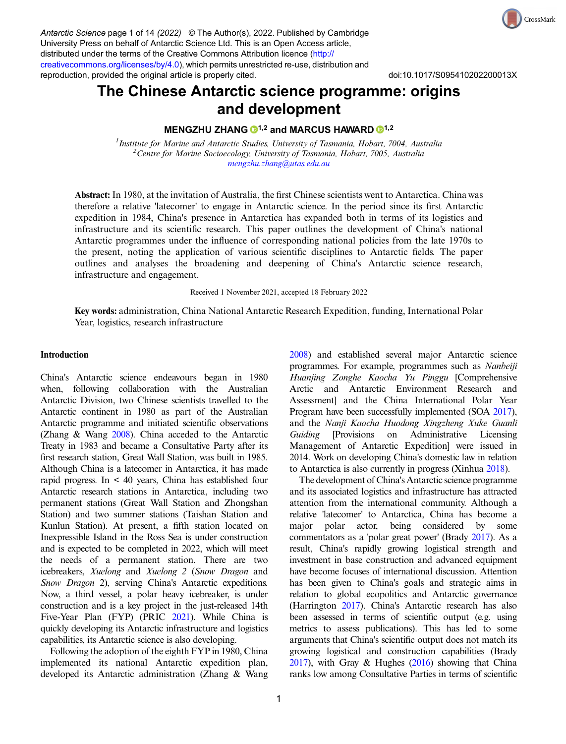Antarctic Science page 1 of 14 (2022) © The Author(s), 2022. Published by Cambridge University Press on behalf of Antarctic Science Ltd. This is an Open Access article, distributed under the terms of the Creative Commons Attribution licence [\(http://](http://creativecommons.org/licenses/by/4.0) [creativecommons.org/licenses/by/4.0\)](http://creativecommons.org/licenses/by/4.0), which permits unrestricted re-use, distribution and reproduction, provided the original article is properly cited. doi:10.1017/S095410202200013X

CrossMark

# The Chinese Antarctic science programme: origins and development

# MENGZHU ZHANG  $\bigcirc$ <sup>[1](https://orcid.org/0000-0003-2710-8532),2</sup> and MARCUS HAWARD  $\bigcirc$ <sup>1,2</sup>

Institute for Marine and Antarctic Studies, University of Tasmania, Hobart, 7004, Australia<br><sup>2</sup>Centre for Marine Socioecology, University of Tasmania, Hobart, 7005, Australia <sup>2</sup> Centre for Marine Socioecology, University of Tasmania, Hobart, 7005, Australia [mengzhu.zhang@utas.edu.au](mailto:mengzhu.zhang@utas.edu.au)

Abstract: In 1980, at the invitation of Australia, the first Chinese scientists went to Antarctica. China was therefore a relative 'latecomer' to engage in Antarctic science. In the period since its first Antarctic expedition in 1984, China's presence in Antarctica has expanded both in terms of its logistics and infrastructure and its scientific research. This paper outlines the development of China's national Antarctic programmes under the influence of corresponding national policies from the late 1970s to the present, noting the application of various scientific disciplines to Antarctic fields. The paper outlines and analyses the broadening and deepening of China's Antarctic science research, infrastructure and engagement.

Received 1 November 2021, accepted 18 February 2022

Key words: administration, China National Antarctic Research Expedition, funding, International Polar Year, logistics, research infrastructure

#### Introduction

China's Antarctic science endeavours began in 1980 when, following collaboration with the Australian Antarctic Division, two Chinese scientists travelled to the Antarctic continent in 1980 as part of the Australian Antarctic programme and initiated scientific observations (Zhang & Wang [2008\)](#page-13-0). China acceded to the Antarctic Treaty in 1983 and became a Consultative Party after its first research station, Great Wall Station, was built in 1985. Although China is a latecomer in Antarctica, it has made rapid progress. In < 40 years, China has established four Antarctic research stations in Antarctica, including two permanent stations (Great Wall Station and Zhongshan Station) and two summer stations (Taishan Station and Kunlun Station). At present, a fifth station located on Inexpressible Island in the Ross Sea is under construction and is expected to be completed in 2022, which will meet the needs of a permanent station. There are two icebreakers, Xuelong and Xuelong 2 (Snow Dragon and Snow Dragon 2), serving China's Antarctic expeditions. Now, a third vessel, a polar heavy icebreaker, is under construction and is a key project in the just-released 14th Five-Year Plan (FYP) (PRIC [2021](#page-12-0)). While China is quickly developing its Antarctic infrastructure and logistics capabilities, its Antarctic science is also developing.

Following the adoption of the eighth FYP in 1980, China implemented its national Antarctic expedition plan, developed its Antarctic administration (Zhang & Wang [2008](#page-13-0)) and established several major Antarctic science programmes. For example, programmes such as Nanbeiji Huanjing Zonghe Kaocha Yu Pinggu [Comprehensive Arctic and Antarctic Environment Research and Assessment] and the China International Polar Year Program have been successfully implemented (SOA [2017](#page-13-0)), and the Nanji Kaocha Huodong Xingzheng Xuke Guanli Guiding [Provisions on Administrative Licensing Management of Antarctic Expedition] were issued in 2014. Work on developing China's domestic law in relation to Antarctica is also currently in progress (Xinhua [2018](#page-13-0)).

The development of China's Antarctic science programme and its associated logistics and infrastructure has attracted attention from the international community. Although a relative 'latecomer' to Antarctica, China has become a major polar actor, being considered by some commentators as a 'polar great power' (Brady [2017\)](#page-12-0). As a result, China's rapidly growing logistical strength and investment in base construction and advanced equipment have become focuses of international discussion. Attention has been given to China's goals and strategic aims in relation to global ecopolitics and Antarctic governance (Harrington [2017](#page-12-0)). China's Antarctic research has also been assessed in terms of scientific output (e.g. using metrics to assess publications). This has led to some arguments that China's scientific output does not match its growing logistical and construction capabilities (Brady [2017\)](#page-12-0), with Gray & Hughes ([2016\)](#page-12-0) showing that China ranks low among Consultative Parties in terms of scientific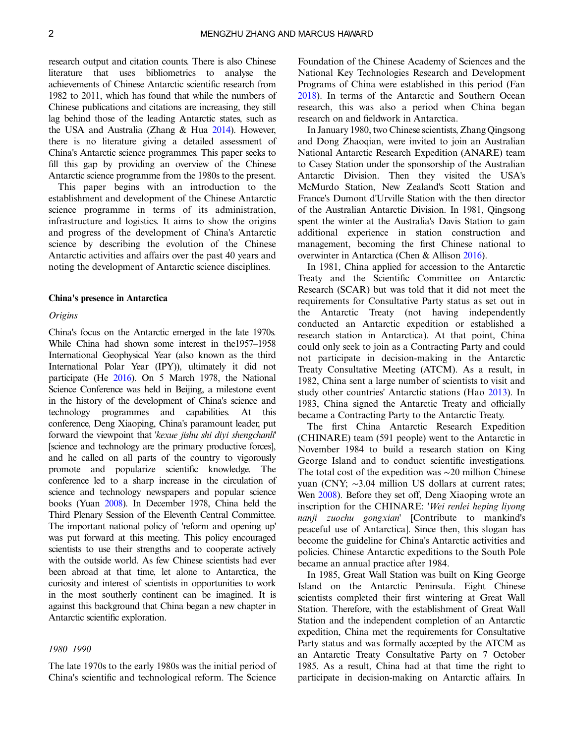research output and citation counts. There is also Chinese literature that uses bibliometrics to analyse the achievements of Chinese Antarctic scientific research from 1982 to 2011, which has found that while the numbers of Chinese publications and citations are increasing, they still lag behind those of the leading Antarctic states, such as the USA and Australia (Zhang & Hua [2014\)](#page-13-0). However, there is no literature giving a detailed assessment of China's Antarctic science programmes. This paper seeks to fill this gap by providing an overview of the Chinese Antarctic science programme from the 1980s to the present.

This paper begins with an introduction to the establishment and development of the Chinese Antarctic science programme in terms of its administration, infrastructure and logistics. It aims to show the origins and progress of the development of China's Antarctic science by describing the evolution of the Chinese Antarctic activities and affairs over the past 40 years and noting the development of Antarctic science disciplines.

#### China's presence in Antarctica

#### **Origins**

China's focus on the Antarctic emerged in the late 1970s. While China had shown some interest in the1957–1958 International Geophysical Year (also known as the third International Polar Year (IPY)), ultimately it did not participate (He [2016](#page-12-0)). On 5 March 1978, the National Science Conference was held in Beijing, a milestone event in the history of the development of China's science and technology programmes and capabilities. At this conference, Deng Xiaoping, China's paramount leader, put forward the viewpoint that 'kexue jishu shi diyi shengchanli' [science and technology are the primary productive forces], and he called on all parts of the country to vigorously promote and popularize scientific knowledge. The conference led to a sharp increase in the circulation of science and technology newspapers and popular science books (Yuan [2008](#page-13-0)). In December 1978, China held the Third Plenary Session of the Eleventh Central Committee. The important national policy of 'reform and opening up' was put forward at this meeting. This policy encouraged scientists to use their strengths and to cooperate actively with the outside world. As few Chinese scientists had ever been abroad at that time, let alone to Antarctica, the curiosity and interest of scientists in opportunities to work in the most southerly continent can be imagined. It is against this background that China began a new chapter in Antarctic scientific exploration.

## 1980–1990

The late 1970s to the early 1980s was the initial period of China's scientific and technological reform. The Science

Foundation of the Chinese Academy of Sciences and the National Key Technologies Research and Development Programs of China were established in this period (Fan [2018](#page-12-0)). In terms of the Antarctic and Southern Ocean research, this was also a period when China began research on and fieldwork in Antarctica.

In January 1980, two Chinese scientists, Zhang Qingsong and Dong Zhaoqian, were invited to join an Australian National Antarctic Research Expedition (ANARE) team to Casey Station under the sponsorship of the Australian Antarctic Division. Then they visited the USA's McMurdo Station, New Zealand's Scott Station and France's Dumont d'Urville Station with the then director of the Australian Antarctic Division. In 1981, Qingsong spent the winter at the Australia's Davis Station to gain additional experience in station construction and management, becoming the first Chinese national to overwinter in Antarctica (Chen & Allison [2016](#page-12-0)).

In 1981, China applied for accession to the Antarctic Treaty and the Scientific Committee on Antarctic Research (SCAR) but was told that it did not meet the requirements for Consultative Party status as set out in the Antarctic Treaty (not having independently conducted an Antarctic expedition or established a research station in Antarctica). At that point, China could only seek to join as a Contracting Party and could not participate in decision-making in the Antarctic Treaty Consultative Meeting (ATCM). As a result, in 1982, China sent a large number of scientists to visit and study other countries' Antarctic stations (Hao [2013\)](#page-12-0). In 1983, China signed the Antarctic Treaty and officially became a Contracting Party to the Antarctic Treaty.

The first China Antarctic Research Expedition (CHINARE) team (591 people) went to the Antarctic in November 1984 to build a research station on King George Island and to conduct scientific investigations. The total cost of the expedition was ∼20 million Chinese yuan (CNY; ∼3.04 million US dollars at current rates; Wen [2008\)](#page-13-0). Before they set off, Deng Xiaoping wrote an inscription for the CHINARE: 'Wei renlei heping liyong nanji zuochu gongxian' [Contribute to mankind's peaceful use of Antarctica]. Since then, this slogan has become the guideline for China's Antarctic activities and policies. Chinese Antarctic expeditions to the South Pole became an annual practice after 1984.

In 1985, Great Wall Station was built on King George Island on the Antarctic Peninsula. Eight Chinese scientists completed their first wintering at Great Wall Station. Therefore, with the establishment of Great Wall Station and the independent completion of an Antarctic expedition, China met the requirements for Consultative Party status and was formally accepted by the ATCM as an Antarctic Treaty Consultative Party on 7 October 1985. As a result, China had at that time the right to participate in decision-making on Antarctic affairs. In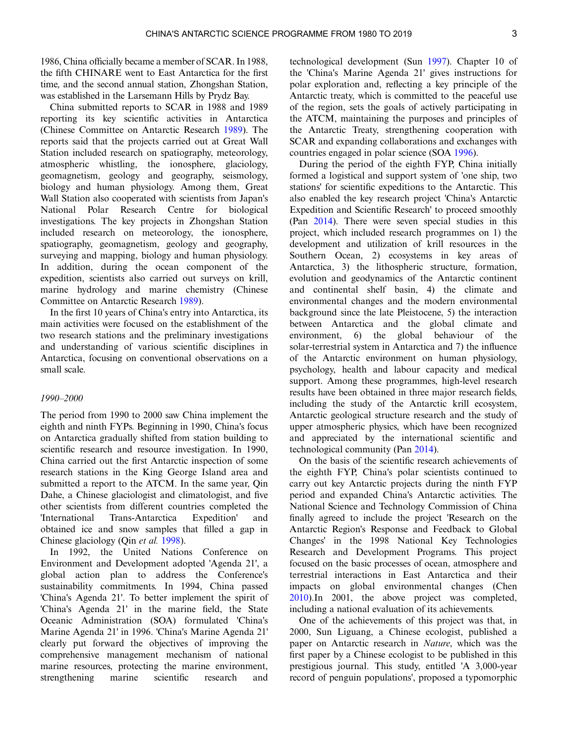1986, China officially became a member of SCAR. In 1988, the fifth CHINARE went to East Antarctica for the first time, and the second annual station, Zhongshan Station, was established in the Larsemann Hills by Prydz Bay.

China submitted reports to SCAR in 1988 and 1989 reporting its key scientific activities in Antarctica (Chinese Committee on Antarctic Research [1989](#page-12-0)). The reports said that the projects carried out at Great Wall Station included research on spatiography, meteorology, atmospheric whistling, the ionosphere, glaciology, geomagnetism, geology and geography, seismology, biology and human physiology. Among them, Great Wall Station also cooperated with scientists from Japan's National Polar Research Centre for biological investigations. The key projects in Zhongshan Station included research on meteorology, the ionosphere, spatiography, geomagnetism, geology and geography, surveying and mapping, biology and human physiology. In addition, during the ocean component of the expedition, scientists also carried out surveys on krill, marine hydrology and marine chemistry (Chinese Committee on Antarctic Research [1989\)](#page-12-0).

In the first 10 years of China's entry into Antarctica, its main activities were focused on the establishment of the two research stations and the preliminary investigations and understanding of various scientific disciplines in Antarctica, focusing on conventional observations on a small scale.

#### 1990–2000

The period from 1990 to 2000 saw China implement the eighth and ninth FYPs. Beginning in 1990, China's focus on Antarctica gradually shifted from station building to scientific research and resource investigation. In 1990, China carried out the first Antarctic inspection of some research stations in the King George Island area and submitted a report to the ATCM. In the same year, Qin Dahe, a Chinese glaciologist and climatologist, and five other scientists from different countries completed the 'International Trans-Antarctica Expedition' and obtained ice and snow samples that filled a gap in Chinese glaciology (Qin et al. [1998\)](#page-12-0).

In 1992, the United Nations Conference on Environment and Development adopted 'Agenda 21', a global action plan to address the Conference's sustainability commitments. In 1994, China passed 'China's Agenda 21'. To better implement the spirit of 'China's Agenda 21' in the marine field, the State Oceanic Administration (SOA) formulated 'China's Marine Agenda 21' in 1996. 'China's Marine Agenda 21' clearly put forward the objectives of improving the comprehensive management mechanism of national marine resources, protecting the marine environment, strengthening marine scientific research and

technological development (Sun [1997\)](#page-13-0). Chapter 10 of the 'China's Marine Agenda 21' gives instructions for polar exploration and, reflecting a key principle of the Antarctic treaty, which is committed to the peaceful use of the region, sets the goals of actively participating in the ATCM, maintaining the purposes and principles of the Antarctic Treaty, strengthening cooperation with SCAR and expanding collaborations and exchanges with countries engaged in polar science (SOA [1996\)](#page-13-0).

During the period of the eighth FYP, China initially formed a logistical and support system of 'one ship, two stations' for scientific expeditions to the Antarctic. This also enabled the key research project 'China's Antarctic Expedition and Scientific Research' to proceed smoothly (Pan [2014](#page-12-0)). There were seven special studies in this project, which included research programmes on 1) the development and utilization of krill resources in the Southern Ocean, 2) ecosystems in key areas of Antarctica, 3) the lithospheric structure, formation, evolution and geodynamics of the Antarctic continent and continental shelf basin, 4) the climate and environmental changes and the modern environmental background since the late Pleistocene, 5) the interaction between Antarctica and the global climate and environment, 6) the global behaviour of the solar-terrestrial system in Antarctica and 7) the influence of the Antarctic environment on human physiology, psychology, health and labour capacity and medical support. Among these programmes, high-level research results have been obtained in three major research fields, including the study of the Antarctic krill ecosystem, Antarctic geological structure research and the study of upper atmospheric physics, which have been recognized and appreciated by the international scientific and technological community (Pan [2014](#page-12-0)).

On the basis of the scientific research achievements of the eighth FYP, China's polar scientists continued to carry out key Antarctic projects during the ninth FYP period and expanded China's Antarctic activities. The National Science and Technology Commission of China finally agreed to include the project 'Research on the Antarctic Region's Response and Feedback to Global Changes' in the 1998 National Key Technologies Research and Development Programs. This project focused on the basic processes of ocean, atmosphere and terrestrial interactions in East Antarctica and their impacts on global environmental changes (Chen [2010\)](#page-12-0).In 2001, the above project was completed, including a national evaluation of its achievements.

One of the achievements of this project was that, in 2000, Sun Liguang, a Chinese ecologist, published a paper on Antarctic research in Nature, which was the first paper by a Chinese ecologist to be published in this prestigious journal. This study, entitled 'A 3,000-year record of penguin populations', proposed a typomorphic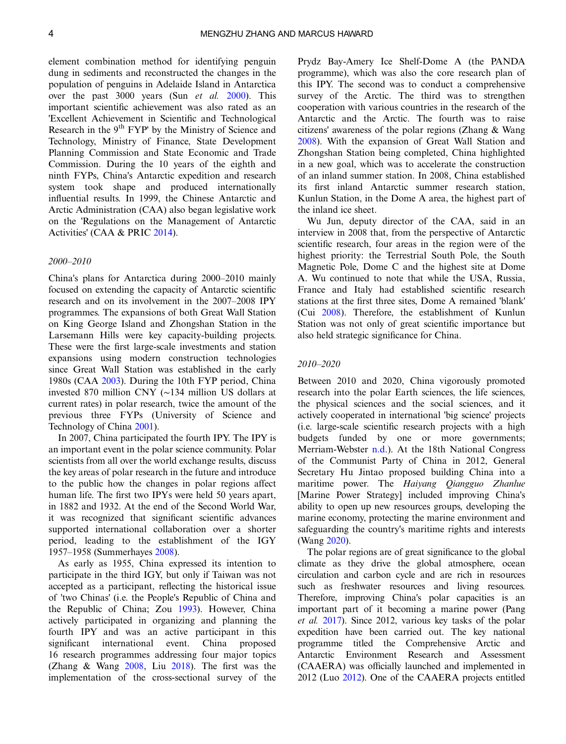element combination method for identifying penguin dung in sediments and reconstructed the changes in the population of penguins in Adelaide Island in Antarctica over the past 3000 years (Sun et al. [2000\)](#page-13-0). This important scientific achievement was also rated as an 'Excellent Achievement in Scientific and Technological Research in the 9<sup>th</sup> FYP' by the Ministry of Science and Technology, Ministry of Finance, State Development Planning Commission and State Economic and Trade Commission. During the 10 years of the eighth and ninth FYPs, China's Antarctic expedition and research system took shape and produced internationally influential results. In 1999, the Chinese Antarctic and Arctic Administration (CAA) also began legislative work on the 'Regulations on the Management of Antarctic Activities' (CAA & PRIC [2014\)](#page-12-0).

#### 2000–2010

China's plans for Antarctica during 2000–2010 mainly focused on extending the capacity of Antarctic scientific research and on its involvement in the 2007–2008 IPY programmes. The expansions of both Great Wall Station on King George Island and Zhongshan Station in the Larsemann Hills were key capacity-building projects. These were the first large-scale investments and station expansions using modern construction technologies since Great Wall Station was established in the early 1980s (CAA [2003\)](#page-12-0). During the 10th FYP period, China invested 870 million CNY (∼134 million US dollars at current rates) in polar research, twice the amount of the previous three FYPs (University of Science and Technology of China [2001\)](#page-13-0).

In 2007, China participated the fourth IPY. The IPY is an important event in the polar science community. Polar scientists from all over the world exchange results, discuss the key areas of polar research in the future and introduce to the public how the changes in polar regions affect human life. The first two IPYs were held 50 years apart, in 1882 and 1932. At the end of the Second World War, it was recognized that significant scientific advances supported international collaboration over a shorter period, leading to the establishment of the IGY 1957–1958 (Summerhayes [2008](#page-13-0)).

As early as 1955, China expressed its intention to participate in the third IGY, but only if Taiwan was not accepted as a participant, reflecting the historical issue of 'two Chinas' (i.e. the People's Republic of China and the Republic of China; Zou [1993](#page-13-0)). However, China actively participated in organizing and planning the fourth IPY and was an active participant in this significant international event. China proposed 16 research programmes addressing four major topics (Zhang & Wang [2008](#page-13-0), Liu [2018](#page-12-0)). The first was the implementation of the cross-sectional survey of the

Prydz Bay-Amery Ice Shelf-Dome A (the PANDA programme), which was also the core research plan of this IPY. The second was to conduct a comprehensive survey of the Arctic. The third was to strengthen cooperation with various countries in the research of the Antarctic and the Arctic. The fourth was to raise citizens' awareness of the polar regions (Zhang & Wang [2008](#page-13-0)). With the expansion of Great Wall Station and Zhongshan Station being completed, China highlighted in a new goal, which was to accelerate the construction of an inland summer station. In 2008, China established its first inland Antarctic summer research station, Kunlun Station, in the Dome A area, the highest part of the inland ice sheet.

Wu Jun, deputy director of the CAA, said in an interview in 2008 that, from the perspective of Antarctic scientific research, four areas in the region were of the highest priority: the Terrestrial South Pole, the South Magnetic Pole, Dome C and the highest site at Dome A. Wu continued to note that while the USA, Russia, France and Italy had established scientific research stations at the first three sites, Dome A remained 'blank' (Cui [2008\)](#page-12-0). Therefore, the establishment of Kunlun Station was not only of great scientific importance but also held strategic significance for China.

#### 2010–2020

Between 2010 and 2020, China vigorously promoted research into the polar Earth sciences, the life sciences, the physical sciences and the social sciences, and it actively cooperated in international 'big science' projects (i.e. large-scale scientific research projects with a high budgets funded by one or more governments; Merriam-Webster [n.d](#page-12-0).). At the 18th National Congress of the Communist Party of China in 2012, General Secretary Hu Jintao proposed building China into a maritime power. The Haiyang Qiangguo Zhanlue [Marine Power Strategy] included improving China's ability to open up new resources groups, developing the marine economy, protecting the marine environment and safeguarding the country's maritime rights and interests (Wang [2020\)](#page-13-0).

The polar regions are of great significance to the global climate as they drive the global atmosphere, ocean circulation and carbon cycle and are rich in resources such as freshwater resources and living resources. Therefore, improving China's polar capacities is an important part of it becoming a marine power (Pang et al. [2017](#page-12-0)). Since 2012, various key tasks of the polar expedition have been carried out. The key national programme titled the Comprehensive Arctic and Antarctic Environment Research and Assessment (CAAERA) was officially launched and implemented in 2012 (Luo [2012](#page-12-0)). One of the CAAERA projects entitled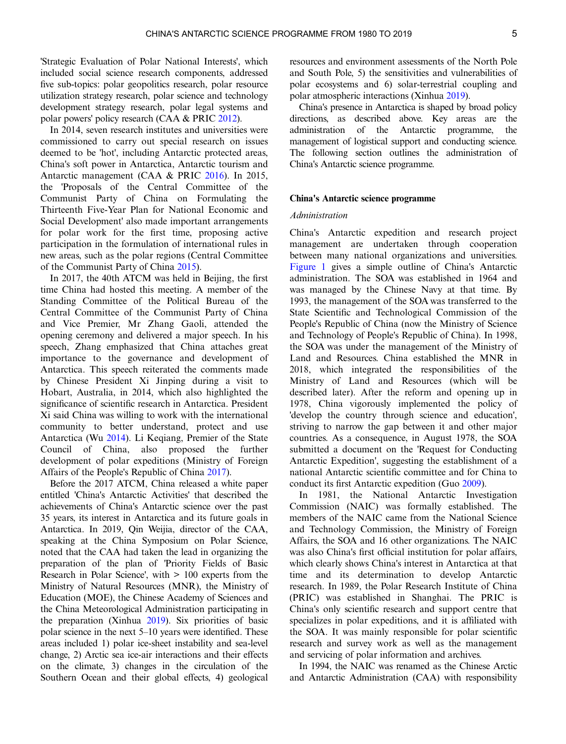'Strategic Evaluation of Polar National Interests', which included social science research components, addressed five sub-topics: polar geopolitics research, polar resource utilization strategy research, polar science and technology development strategy research, polar legal systems and polar powers' policy research (CAA & PRIC [2012](#page-12-0)).

In 2014, seven research institutes and universities were commissioned to carry out special research on issues deemed to be 'hot', including Antarctic protected areas, China's soft power in Antarctica, Antarctic tourism and Antarctic management (CAA & PRIC [2016\)](#page-12-0). In 2015, the 'Proposals of the Central Committee of the Communist Party of China on Formulating the Thirteenth Five-Year Plan for National Economic and Social Development' also made important arrangements for polar work for the first time, proposing active participation in the formulation of international rules in new areas, such as the polar regions (Central Committee of the Communist Party of China [2015\)](#page-12-0).

In 2017, the 40th ATCM was held in Beijing, the first time China had hosted this meeting. A member of the Standing Committee of the Political Bureau of the Central Committee of the Communist Party of China and Vice Premier, Mr Zhang Gaoli, attended the opening ceremony and delivered a major speech. In his speech, Zhang emphasized that China attaches great importance to the governance and development of Antarctica. This speech reiterated the comments made by Chinese President Xi Jinping during a visit to Hobart, Australia, in 2014, which also highlighted the significance of scientific research in Antarctica. President Xi said China was willing to work with the international community to better understand, protect and use Antarctica (Wu [2014](#page-13-0)). Li Keqiang, Premier of the State Council of China, also proposed the further development of polar expeditions (Ministry of Foreign Affairs of the People's Republic of China [2017](#page-12-0)).

Before the 2017 ATCM, China released a white paper entitled 'China's Antarctic Activities' that described the achievements of China's Antarctic science over the past 35 years, its interest in Antarctica and its future goals in Antarctica. In 2019, Qin Weijia, director of the CAA, speaking at the China Symposium on Polar Science, noted that the CAA had taken the lead in organizing the preparation of the plan of 'Priority Fields of Basic Research in Polar Science', with > 100 experts from the Ministry of Natural Resources (MNR), the Ministry of Education (MOE), the Chinese Academy of Sciences and the China Meteorological Administration participating in the preparation (Xinhua [2019](#page-13-0)). Six priorities of basic polar science in the next 5–10 years were identified. These areas included 1) polar ice-sheet instability and sea-level change, 2) Arctic sea ice-air interactions and their effects on the climate, 3) changes in the circulation of the Southern Ocean and their global effects, 4) geological

resources and environment assessments of the North Pole and South Pole, 5) the sensitivities and vulnerabilities of polar ecosystems and 6) solar-terrestrial coupling and polar atmospheric interactions (Xinhua [2019](#page-13-0)).

China's presence in Antarctica is shaped by broad policy directions, as described above. Key areas are the administration of the Antarctic programme, the management of logistical support and conducting science. The following section outlines the administration of China's Antarctic science programme.

#### China's Antarctic science programme

## Administration

China's Antarctic expedition and research project management are undertaken through cooperation between many national organizations and universities. [Figure 1](#page-5-0) gives a simple outline of China's Antarctic administration. The SOA was established in 1964 and was managed by the Chinese Navy at that time. By 1993, the management of the SOA was transferred to the State Scientific and Technological Commission of the People's Republic of China (now the Ministry of Science and Technology of People's Republic of China). In 1998, the SOA was under the management of the Ministry of Land and Resources. China established the MNR in 2018, which integrated the responsibilities of the Ministry of Land and Resources (which will be described later). After the reform and opening up in 1978, China vigorously implemented the policy of 'develop the country through science and education', striving to narrow the gap between it and other major countries. As a consequence, in August 1978, the SOA submitted a document on the 'Request for Conducting Antarctic Expedition', suggesting the establishment of a national Antarctic scientific committee and for China to conduct its first Antarctic expedition (Guo [2009](#page-12-0)).

In 1981, the National Antarctic Investigation Commission (NAIC) was formally established. The members of the NAIC came from the National Science and Technology Commission, the Ministry of Foreign Affairs, the SOA and 16 other organizations. The NAIC was also China's first official institution for polar affairs, which clearly shows China's interest in Antarctica at that time and its determination to develop Antarctic research. In 1989, the Polar Research Institute of China (PRIC) was established in Shanghai. The PRIC is China's only scientific research and support centre that specializes in polar expeditions, and it is affiliated with the SOA. It was mainly responsible for polar scientific research and survey work as well as the management and servicing of polar information and archives.

In 1994, the NAIC was renamed as the Chinese Arctic and Antarctic Administration (CAA) with responsibility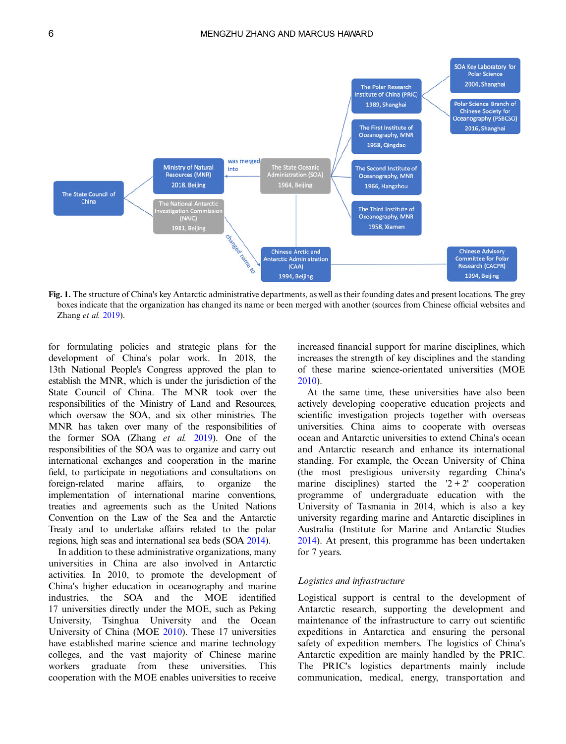<span id="page-5-0"></span>

Fig. 1. The structure of China's key Antarctic administrative departments, as well as their founding dates and present locations. The grey boxes indicate that the organization has changed its name or been merged with another (sources from Chinese official websites and Zhang et al. [2019](#page-13-0)).

for formulating policies and strategic plans for the development of China's polar work. In 2018, the 13th National People's Congress approved the plan to establish the MNR, which is under the jurisdiction of the State Council of China. The MNR took over the responsibilities of the Ministry of Land and Resources, which oversaw the SOA, and six other ministries. The MNR has taken over many of the responsibilities of the former SOA (Zhang et al. [2019\)](#page-13-0). One of the responsibilities of the SOA was to organize and carry out international exchanges and cooperation in the marine field, to participate in negotiations and consultations on foreign-related marine affairs, to organize the implementation of international marine conventions, treaties and agreements such as the United Nations Convention on the Law of the Sea and the Antarctic Treaty and to undertake affairs related to the polar regions, high seas and international sea beds (SOA [2014](#page-13-0)).

In addition to these administrative organizations, many universities in China are also involved in Antarctic activities. In 2010, to promote the development of China's higher education in oceanography and marine industries, the SOA and the MOE identified 17 universities directly under the MOE, such as Peking University, Tsinghua University and the Ocean University of China (MOE [2010\)](#page-12-0). These 17 universities have established marine science and marine technology colleges, and the vast majority of Chinese marine workers graduate from these universities. This cooperation with the MOE enables universities to receive

increased financial support for marine disciplines, which increases the strength of key disciplines and the standing of these marine science-orientated universities (MOE [2010](#page-12-0)).

At the same time, these universities have also been actively developing cooperative education projects and scientific investigation projects together with overseas universities. China aims to cooperate with overseas ocean and Antarctic universities to extend China's ocean and Antarctic research and enhance its international standing. For example, the Ocean University of China (the most prestigious university regarding China's marine disciplines) started the  $2 + 2'$  cooperation programme of undergraduate education with the University of Tasmania in 2014, which is also a key university regarding marine and Antarctic disciplines in Australia (Institute for Marine and Antarctic Studies [2014](#page-12-0)). At present, this programme has been undertaken for 7 years.

#### Logistics and infrastructure

Logistical support is central to the development of Antarctic research, supporting the development and maintenance of the infrastructure to carry out scientific expeditions in Antarctica and ensuring the personal safety of expedition members. The logistics of China's Antarctic expedition are mainly handled by the PRIC. The PRIC's logistics departments mainly include communication, medical, energy, transportation and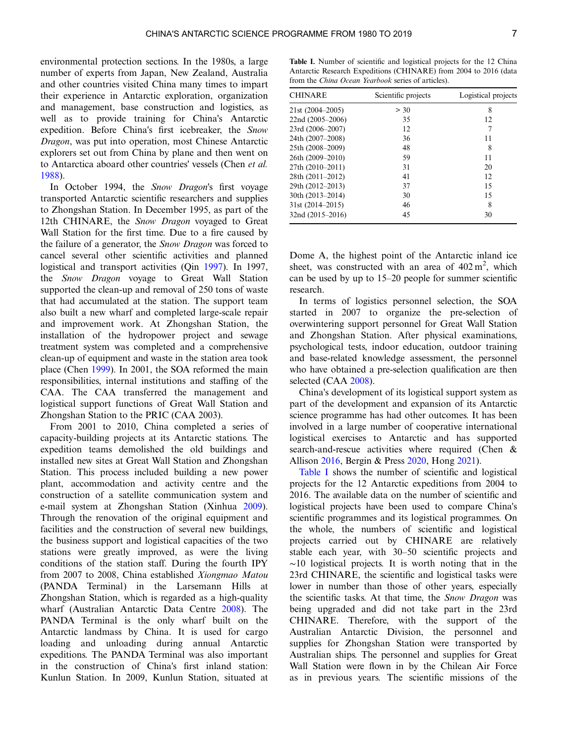environmental protection sections. In the 1980s, a large number of experts from Japan, New Zealand, Australia and other countries visited China many times to impart their experience in Antarctic exploration, organization and management, base construction and logistics, as well as to provide training for China's Antarctic expedition. Before China's first icebreaker, the Snow Dragon, was put into operation, most Chinese Antarctic explorers set out from China by plane and then went on to Antarctica aboard other countries' vessels (Chen et al. [1988\)](#page-12-0).

In October 1994, the Snow Dragon's first voyage transported Antarctic scientific researchers and supplies to Zhongshan Station. In December 1995, as part of the 12th CHINARE, the Snow Dragon voyaged to Great Wall Station for the first time. Due to a fire caused by the failure of a generator, the Snow Dragon was forced to cancel several other scientific activities and planned logistical and transport activities (Qin [1997](#page-12-0)). In 1997, the Snow Dragon voyage to Great Wall Station supported the clean-up and removal of 250 tons of waste that had accumulated at the station. The support team also built a new wharf and completed large-scale repair and improvement work. At Zhongshan Station, the installation of the hydropower project and sewage treatment system was completed and a comprehensive clean-up of equipment and waste in the station area took place (Chen [1999](#page-12-0)). In 2001, the SOA reformed the main responsibilities, internal institutions and staffing of the CAA. The CAA transferred the management and logistical support functions of Great Wall Station and Zhongshan Station to the PRIC (CAA 2003).

From 2001 to 2010, China completed a series of capacity-building projects at its Antarctic stations. The expedition teams demolished the old buildings and installed new sites at Great Wall Station and Zhongshan Station. This process included building a new power plant, accommodation and activity centre and the construction of a satellite communication system and e-mail system at Zhongshan Station (Xinhua [2009](#page-13-0)). Through the renovation of the original equipment and facilities and the construction of several new buildings, the business support and logistical capacities of the two stations were greatly improved, as were the living conditions of the station staff. During the fourth IPY from 2007 to 2008, China established Xiongmao Matou (PANDA Terminal) in the Larsemann Hills at Zhongshan Station, which is regarded as a high-quality wharf (Australian Antarctic Data Centre [2008](#page-12-0)). The PANDA Terminal is the only wharf built on the Antarctic landmass by China. It is used for cargo loading and unloading during annual Antarctic expeditions. The PANDA Terminal was also important in the construction of China's first inland station: Kunlun Station. In 2009, Kunlun Station, situated at

Table I. Number of scientific and logistical projects for the 12 China Antarctic Research Expeditions (CHINARE) from 2004 to 2016 (data from the China Ocean Yearbook series of articles).

| <b>CHINARE</b>    | Scientific projects | Logistical projects |
|-------------------|---------------------|---------------------|
| $21st(2004-2005)$ | > 30                | 8                   |
| 22nd (2005–2006)  | 35                  | 12                  |
| 23rd (2006–2007)  | 12                  | 7                   |
| 24th (2007-2008)  | 36                  | 11                  |
| 25th (2008-2009)  | 48                  | 8                   |
| 26th (2009-2010)  | 59                  | 11                  |
| 27th (2010-2011)  | 31                  | 20                  |
| 28th (2011-2012)  | 41                  | 12.                 |
| 29th (2012-2013)  | 37                  | 15                  |
| 30th (2013–2014)  | 30                  | 15                  |
| $31st(2014-2015)$ | 46                  | 8                   |
| 32nd (2015–2016)  | 45                  | 30                  |

Dome A, the highest point of the Antarctic inland ice sheet, was constructed with an area of  $402 \text{ m}^2$ , which can be used by up to 15–20 people for summer scientific research.

In terms of logistics personnel selection, the SOA started in 2007 to organize the pre-selection of overwintering support personnel for Great Wall Station and Zhongshan Station. After physical examinations, psychological tests, indoor education, outdoor training and base-related knowledge assessment, the personnel who have obtained a pre-selection qualification are then selected (CAA [2008\)](#page-12-0).

China's development of its logistical support system as part of the development and expansion of its Antarctic science programme has had other outcomes. It has been involved in a large number of cooperative international logistical exercises to Antarctic and has supported search-and-rescue activities where required (Chen & Allison [2016](#page-12-0), Bergin & Press [2020,](#page-12-0) Hong [2021](#page-12-0)).

Table I shows the number of scientific and logistical projects for the 12 Antarctic expeditions from 2004 to 2016. The available data on the number of scientific and logistical projects have been used to compare China's scientific programmes and its logistical programmes. On the whole, the numbers of scientific and logistical projects carried out by CHINARE are relatively stable each year, with 30–50 scientific projects and  $~\sim$ 10 logistical projects. It is worth noting that in the 23rd CHINARE, the scientific and logistical tasks were lower in number than those of other years, especially the scientific tasks. At that time, the Snow Dragon was being upgraded and did not take part in the 23rd CHINARE. Therefore, with the support of the Australian Antarctic Division, the personnel and supplies for Zhongshan Station were transported by Australian ships. The personnel and supplies for Great Wall Station were flown in by the Chilean Air Force as in previous years. The scientific missions of the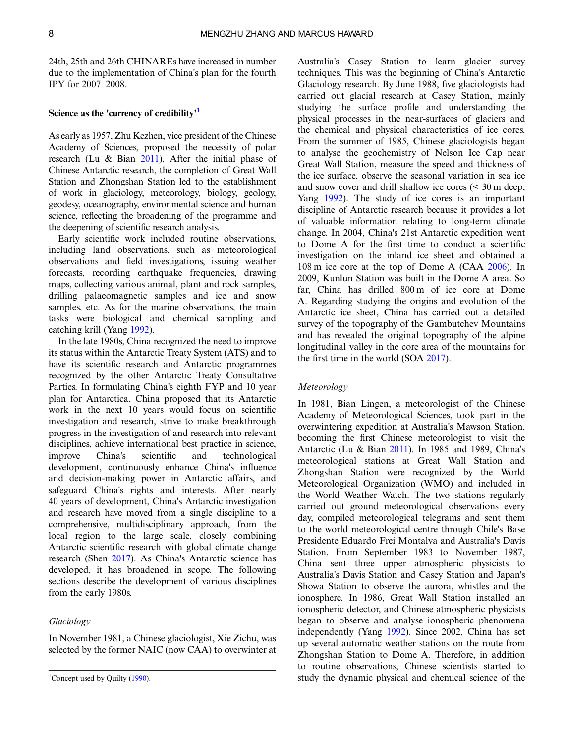24th, 25th and 26th CHINAREs have increased in number due to the implementation of China's plan for the fourth IPY for 2007–2008.

#### Science as the 'currency of credibility'<sup>1</sup>

As early as 1957, Zhu Kezhen, vice president of the Chinese Academy of Sciences, proposed the necessity of polar research (Lu & Bian [2011\)](#page-12-0). After the initial phase of Chinese Antarctic research, the completion of Great Wall Station and Zhongshan Station led to the establishment of work in glaciology, meteorology, biology, geology, geodesy, oceanography, environmental science and human science, reflecting the broadening of the programme and the deepening of scientific research analysis.

Early scientific work included routine observations, including land observations, such as meteorological observations and field investigations, issuing weather forecasts, recording earthquake frequencies, drawing maps, collecting various animal, plant and rock samples, drilling palaeomagnetic samples and ice and snow samples, etc. As for the marine observations, the main tasks were biological and chemical sampling and catching krill (Yang [1992](#page-13-0)).

In the late 1980s, China recognized the need to improve its status within the Antarctic Treaty System (ATS) and to have its scientific research and Antarctic programmes recognized by the other Antarctic Treaty Consultative Parties. In formulating China's eighth FYP and 10 year plan for Antarctica, China proposed that its Antarctic work in the next 10 years would focus on scientific investigation and research, strive to make breakthrough progress in the investigation of and research into relevant disciplines, achieve international best practice in science, improve China's scientific and technological development, continuously enhance China's influence and decision-making power in Antarctic affairs, and safeguard China's rights and interests. After nearly 40 years of development, China's Antarctic investigation and research have moved from a single discipline to a comprehensive, multidisciplinary approach, from the local region to the large scale, closely combining Antarctic scientific research with global climate change research (Shen [2017\)](#page-13-0). As China's Antarctic science has developed, it has broadened in scope. The following sections describe the development of various disciplines from the early 1980s.

#### Glaciology

In November 1981, a Chinese glaciologist, Xie Zichu, was selected by the former NAIC (now CAA) to overwinter at

Australia's Casey Station to learn glacier survey techniques. This was the beginning of China's Antarctic Glaciology research. By June 1988, five glaciologists had carried out glacial research at Casey Station, mainly studying the surface profile and understanding the physical processes in the near-surfaces of glaciers and the chemical and physical characteristics of ice cores. From the summer of 1985, Chinese glaciologists began to analyse the geochemistry of Nelson Ice Cap near Great Wall Station, measure the speed and thickness of the ice surface, observe the seasonal variation in sea ice and snow cover and drill shallow ice cores (< 30 m deep; Yang [1992\)](#page-13-0). The study of ice cores is an important discipline of Antarctic research because it provides a lot of valuable information relating to long-term climate change. In 2004, China's 21st Antarctic expedition went to Dome A for the first time to conduct a scientific investigation on the inland ice sheet and obtained a 108 m ice core at the top of Dome A (CAA [2006](#page-12-0)). In 2009, Kunlun Station was built in the Dome A area. So far, China has drilled 800 m of ice core at Dome A. Regarding studying the origins and evolution of the Antarctic ice sheet, China has carried out a detailed survey of the topography of the Gambutchev Mountains and has revealed the original topography of the alpine longitudinal valley in the core area of the mountains for the first time in the world (SOA [2017\)](#page-13-0).

#### Meteorology

In 1981, Bian Lingen, a meteorologist of the Chinese Academy of Meteorological Sciences, took part in the overwintering expedition at Australia's Mawson Station, becoming the first Chinese meteorologist to visit the Antarctic (Lu & Bian [2011\)](#page-12-0). In 1985 and 1989, China's meteorological stations at Great Wall Station and Zhongshan Station were recognized by the World Meteorological Organization (WMO) and included in the World Weather Watch. The two stations regularly carried out ground meteorological observations every day, compiled meteorological telegrams and sent them to the world meteorological centre through Chile's Base Presidente Eduardo Frei Montalva and Australia's Davis Station. From September 1983 to November 1987, China sent three upper atmospheric physicists to Australia's Davis Station and Casey Station and Japan's Showa Station to observe the aurora, whistles and the ionosphere. In 1986, Great Wall Station installed an ionospheric detector, and Chinese atmospheric physicists began to observe and analyse ionospheric phenomena independently (Yang [1992\)](#page-13-0). Since 2002, China has set up several automatic weather stations on the route from Zhongshan Station to Dome A. Therefore, in addition to routine observations, Chinese scientists started to study the dynamic physical and chemical science of the

<sup>&</sup>lt;sup>1</sup>Concept used by Quilty [\(1990](#page-13-0)).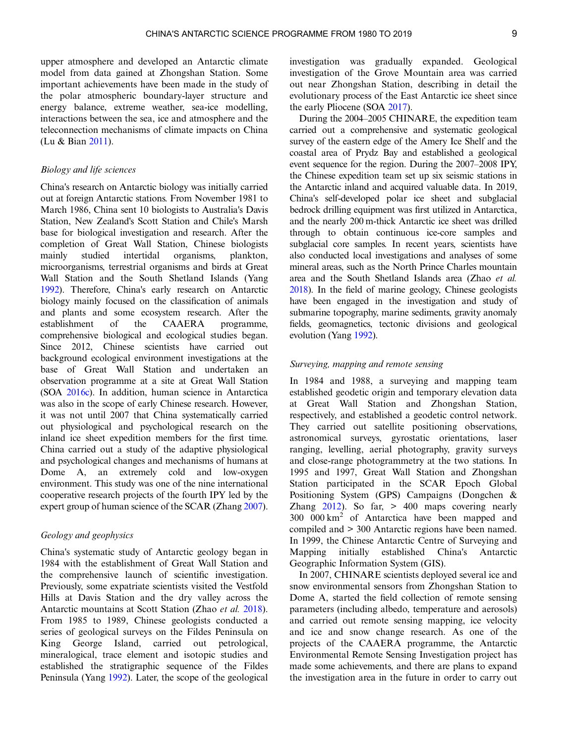upper atmosphere and developed an Antarctic climate model from data gained at Zhongshan Station. Some important achievements have been made in the study of the polar atmospheric boundary-layer structure and energy balance, extreme weather, sea-ice modelling, interactions between the sea, ice and atmosphere and the teleconnection mechanisms of climate impacts on China (Lu & Bian [2011\)](#page-12-0).

#### Biology and life sciences

China's research on Antarctic biology was initially carried out at foreign Antarctic stations. From November 1981 to March 1986, China sent 10 biologists to Australia's Davis Station, New Zealand's Scott Station and Chile's Marsh base for biological investigation and research. After the completion of Great Wall Station, Chinese biologists mainly studied intertidal organisms, plankton, microorganisms, terrestrial organisms and birds at Great Wall Station and the South Shetland Islands (Yang [1992](#page-13-0)). Therefore, China's early research on Antarctic biology mainly focused on the classification of animals and plants and some ecosystem research. After the establishment of the CAAERA programme, comprehensive biological and ecological studies began. Since 2012, Chinese scientists have carried out background ecological environment investigations at the base of Great Wall Station and undertaken an observation programme at a site at Great Wall Station (SOA [2016c](#page-13-0)). In addition, human science in Antarctica was also in the scope of early Chinese research. However, it was not until 2007 that China systematically carried out physiological and psychological research on the inland ice sheet expedition members for the first time. China carried out a study of the adaptive physiological and psychological changes and mechanisms of humans at Dome A, an extremely cold and low-oxygen environment. This study was one of the nine international cooperative research projects of the fourth IPY led by the expert group of human science of the SCAR (Zhang [2007](#page-13-0)).

## Geology and geophysics

China's systematic study of Antarctic geology began in 1984 with the establishment of Great Wall Station and the comprehensive launch of scientific investigation. Previously, some expatriate scientists visited the Vestfold Hills at Davis Station and the dry valley across the Antarctic mountains at Scott Station (Zhao et al. [2018](#page-13-0)). From 1985 to 1989, Chinese geologists conducted a series of geological surveys on the Fildes Peninsula on King George Island, carried out petrological, mineralogical, trace element and isotopic studies and established the stratigraphic sequence of the Fildes Peninsula (Yang [1992\)](#page-13-0). Later, the scope of the geological investigation was gradually expanded. Geological investigation of the Grove Mountain area was carried out near Zhongshan Station, describing in detail the evolutionary process of the East Antarctic ice sheet since the early Pliocene (SOA [2017](#page-13-0)).

During the 2004–2005 CHINARE, the expedition team carried out a comprehensive and systematic geological survey of the eastern edge of the Amery Ice Shelf and the coastal area of Prydz Bay and established a geological event sequence for the region. During the 2007–2008 IPY, the Chinese expedition team set up six seismic stations in the Antarctic inland and acquired valuable data. In 2019, China's self-developed polar ice sheet and subglacial bedrock drilling equipment was first utilized in Antarctica, and the nearly 200 m-thick Antarctic ice sheet was drilled through to obtain continuous ice-core samples and subglacial core samples. In recent years, scientists have also conducted local investigations and analyses of some mineral areas, such as the North Prince Charles mountain area and the South Shetland Islands area (Zhao et al. [2018](#page-13-0)). In the field of marine geology, Chinese geologists have been engaged in the investigation and study of submarine topography, marine sediments, gravity anomaly fields, geomagnetics, tectonic divisions and geological evolution (Yang [1992\)](#page-13-0).

## Surveying, mapping and remote sensing

In 1984 and 1988, a surveying and mapping team established geodetic origin and temporary elevation data at Great Wall Station and Zhongshan Station, respectively, and established a geodetic control network. They carried out satellite positioning observations, astronomical surveys, gyrostatic orientations, laser ranging, levelling, aerial photography, gravity surveys and close-range photogrammetry at the two stations. In 1995 and 1997, Great Wall Station and Zhongshan Station participated in the SCAR Epoch Global Positioning System (GPS) Campaigns (Dongchen & Zhang  $2012$ ). So far,  $> 400$  maps covering nearly 300 000 km<sup>2</sup> of Antarctica have been mapped and compiled and > 300 Antarctic regions have been named. In 1999, the Chinese Antarctic Centre of Surveying and Mapping initially established China's Antarctic Geographic Information System (GIS).

In 2007, CHINARE scientists deployed several ice and snow environmental sensors from Zhongshan Station to Dome A, started the field collection of remote sensing parameters (including albedo, temperature and aerosols) and carried out remote sensing mapping, ice velocity and ice and snow change research. As one of the projects of the CAAERA programme, the Antarctic Environmental Remote Sensing Investigation project has made some achievements, and there are plans to expand the investigation area in the future in order to carry out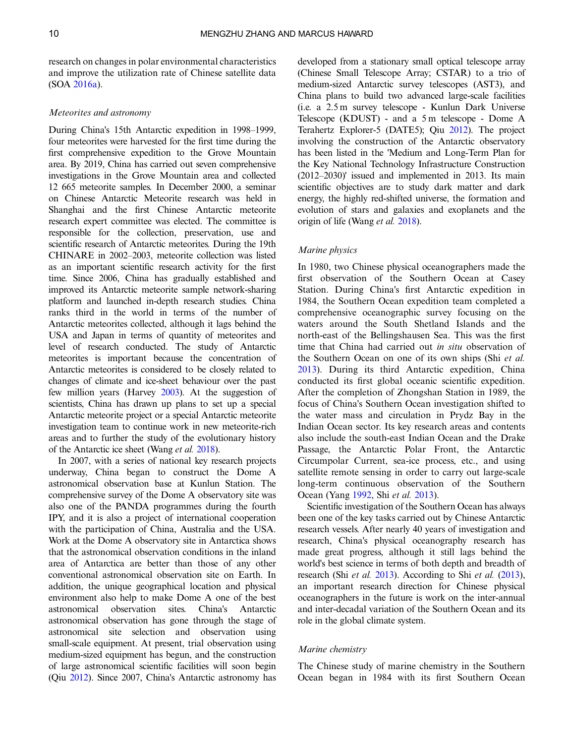research on changes in polar environmental characteristics and improve the utilization rate of Chinese satellite data (SOA [2016a](#page-13-0)).

#### Meteorites and astronomy

During China's 15th Antarctic expedition in 1998–1999, four meteorites were harvested for the first time during the first comprehensive expedition to the Grove Mountain area. By 2019, China has carried out seven comprehensive investigations in the Grove Mountain area and collected 12 665 meteorite samples. In December 2000, a seminar on Chinese Antarctic Meteorite research was held in Shanghai and the first Chinese Antarctic meteorite research expert committee was elected. The committee is responsible for the collection, preservation, use and scientific research of Antarctic meteorites. During the 19th CHINARE in 2002–2003, meteorite collection was listed as an important scientific research activity for the first time. Since 2006, China has gradually established and improved its Antarctic meteorite sample network-sharing platform and launched in-depth research studies. China ranks third in the world in terms of the number of Antarctic meteorites collected, although it lags behind the USA and Japan in terms of quantity of meteorites and level of research conducted. The study of Antarctic meteorites is important because the concentration of Antarctic meteorites is considered to be closely related to changes of climate and ice-sheet behaviour over the past few million years (Harvey [2003\)](#page-12-0). At the suggestion of scientists, China has drawn up plans to set up a special Antarctic meteorite project or a special Antarctic meteorite investigation team to continue work in new meteorite-rich areas and to further the study of the evolutionary history of the Antarctic ice sheet (Wang et al. [2018](#page-13-0)).

In 2007, with a series of national key research projects underway, China began to construct the Dome A astronomical observation base at Kunlun Station. The comprehensive survey of the Dome A observatory site was also one of the PANDA programmes during the fourth IPY, and it is also a project of international cooperation with the participation of China, Australia and the USA. Work at the Dome A observatory site in Antarctica shows that the astronomical observation conditions in the inland area of Antarctica are better than those of any other conventional astronomical observation site on Earth. In addition, the unique geographical location and physical environment also help to make Dome A one of the best astronomical observation sites. China's Antarctic astronomical observation has gone through the stage of astronomical site selection and observation using small-scale equipment. At present, trial observation using medium-sized equipment has begun, and the construction of large astronomical scientific facilities will soon begin (Qiu [2012\)](#page-12-0). Since 2007, China's Antarctic astronomy has

developed from a stationary small optical telescope array (Chinese Small Telescope Array; CSTAR) to a trio of medium-sized Antarctic survey telescopes (AST3), and China plans to build two advanced large-scale facilities (i.e. a 2.5 m survey telescope - Kunlun Dark Universe Telescope (KDUST) - and a 5 m telescope - Dome A Terahertz Explorer-5 (DATE5); Qiu [2012](#page-12-0)). The project involving the construction of the Antarctic observatory has been listed in the 'Medium and Long-Term Plan for the Key National Technology Infrastructure Construction (2012–2030)' issued and implemented in 2013. Its main scientific objectives are to study dark matter and dark energy, the highly red-shifted universe, the formation and evolution of stars and galaxies and exoplanets and the origin of life (Wang et al. [2018](#page-13-0)).

#### Marine physics

In 1980, two Chinese physical oceanographers made the first observation of the Southern Ocean at Casey Station. During China's first Antarctic expedition in 1984, the Southern Ocean expedition team completed a comprehensive oceanographic survey focusing on the waters around the South Shetland Islands and the north-east of the Bellingshausen Sea. This was the first time that China had carried out in situ observation of the Southern Ocean on one of its own ships (Shi et al. [2013](#page-13-0)). During its third Antarctic expedition, China conducted its first global oceanic scientific expedition. After the completion of Zhongshan Station in 1989, the focus of China's Southern Ocean investigation shifted to the water mass and circulation in Prydz Bay in the Indian Ocean sector. Its key research areas and contents also include the south-east Indian Ocean and the Drake Passage, the Antarctic Polar Front, the Antarctic Circumpolar Current, sea-ice process, etc., and using satellite remote sensing in order to carry out large-scale long-term continuous observation of the Southern Ocean (Yang [1992,](#page-13-0) Shi et al. [2013](#page-13-0)).

Scientific investigation of the Southern Ocean has always been one of the key tasks carried out by Chinese Antarctic research vessels. After nearly 40 years of investigation and research, China's physical oceanography research has made great progress, although it still lags behind the world's best science in terms of both depth and breadth of research (Shi *et al.* [2013](#page-13-0)). According to Shi *et al.* [\(2013\)](#page-13-0), an important research direction for Chinese physical oceanographers in the future is work on the inter-annual and inter-decadal variation of the Southern Ocean and its role in the global climate system.

## Marine chemistry

The Chinese study of marine chemistry in the Southern Ocean began in 1984 with its first Southern Ocean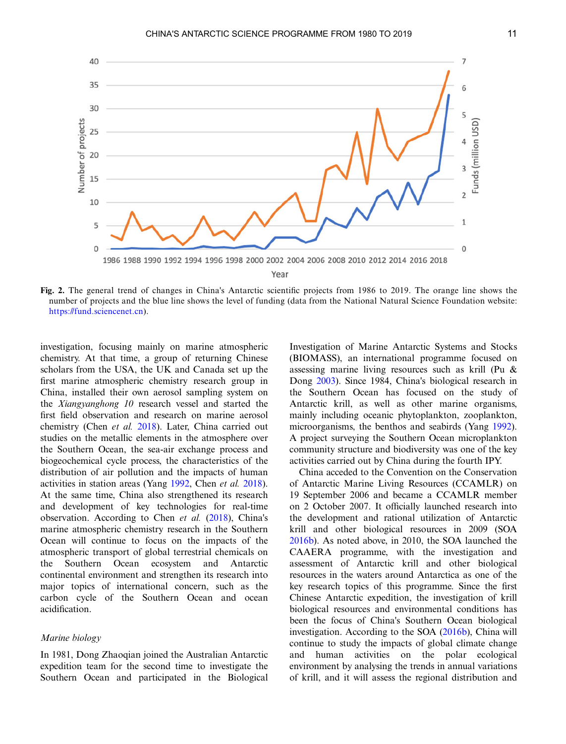<span id="page-10-0"></span>

Fig. 2. The general trend of changes in China's Antarctic scientific projects from 1986 to 2019. The orange line shows the number of projects and the blue line shows the level of funding (data from the National Natural Science Foundation website: [https://fund.sciencenet.cn\)](https://fund.sciencenet.cn).

investigation, focusing mainly on marine atmospheric chemistry. At that time, a group of returning Chinese scholars from the USA, the UK and Canada set up the first marine atmospheric chemistry research group in China, installed their own aerosol sampling system on the Xiangyanghong 10 research vessel and started the first field observation and research on marine aerosol chemistry (Chen et al. [2018\)](#page-12-0). Later, China carried out studies on the metallic elements in the atmosphere over the Southern Ocean, the sea-air exchange process and biogeochemical cycle process, the characteristics of the distribution of air pollution and the impacts of human activities in station areas (Yang [1992](#page-13-0), Chen et al. [2018](#page-12-0)). At the same time, China also strengthened its research and development of key technologies for real-time observation. According to Chen et al. [\(2018](#page-12-0)), China's marine atmospheric chemistry research in the Southern Ocean will continue to focus on the impacts of the atmospheric transport of global terrestrial chemicals on the Southern Ocean ecosystem and Antarctic continental environment and strengthen its research into major topics of international concern, such as the carbon cycle of the Southern Ocean and ocean acidification.

## Marine biology

In 1981, Dong Zhaoqian joined the Australian Antarctic expedition team for the second time to investigate the Southern Ocean and participated in the Biological

Investigation of Marine Antarctic Systems and Stocks (BIOMASS), an international programme focused on assessing marine living resources such as krill (Pu & Dong [2003](#page-12-0)). Since 1984, China's biological research in the Southern Ocean has focused on the study of Antarctic krill, as well as other marine organisms, mainly including oceanic phytoplankton, zooplankton, microorganisms, the benthos and seabirds (Yang [1992](#page-13-0)). A project surveying the Southern Ocean microplankton community structure and biodiversity was one of the key activities carried out by China during the fourth IPY.

China acceded to the Convention on the Conservation of Antarctic Marine Living Resources (CCAMLR) on 19 September 2006 and became a CCAMLR member on 2 October 2007. It officially launched research into the development and rational utilization of Antarctic krill and other biological resources in 2009 (SOA [2016b](#page-13-0)). As noted above, in 2010, the SOA launched the CAAERA programme, with the investigation and assessment of Antarctic krill and other biological resources in the waters around Antarctica as one of the key research topics of this programme. Since the first Chinese Antarctic expedition, the investigation of krill biological resources and environmental conditions has been the focus of China's Southern Ocean biological investigation. According to the SOA ([2016b](#page-13-0)), China will continue to study the impacts of global climate change and human activities on the polar ecological environment by analysing the trends in annual variations of krill, and it will assess the regional distribution and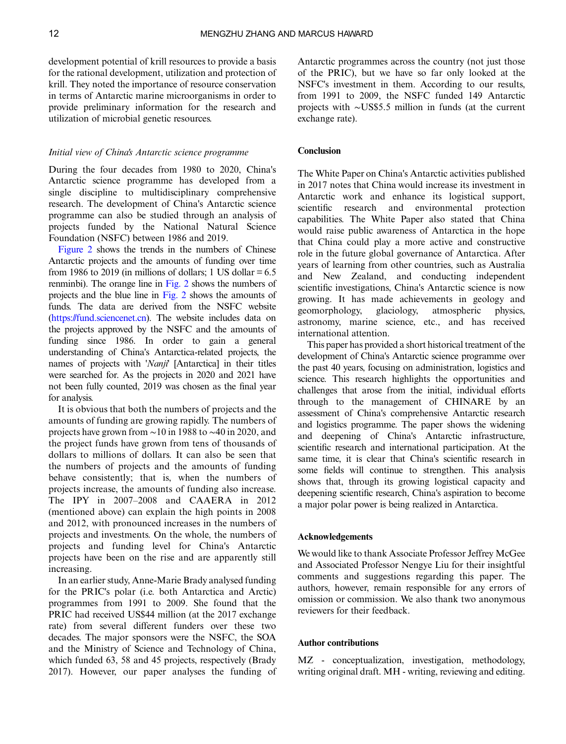development potential of krill resources to provide a basis for the rational development, utilization and protection of krill. They noted the importance of resource conservation in terms of Antarctic marine microorganisms in order to provide preliminary information for the research and utilization of microbial genetic resources.

#### Initial view of China's Antarctic science programme

During the four decades from 1980 to 2020, China's Antarctic science programme has developed from a single discipline to multidisciplinary comprehensive research. The development of China's Antarctic science programme can also be studied through an analysis of projects funded by the National Natural Science Foundation (NSFC) between 1986 and 2019.

[Figure 2](#page-10-0) shows the trends in the numbers of Chinese Antarctic projects and the amounts of funding over time from 1986 to 2019 (in millions of dollars; 1 US dollar  $= 6.5$ ) renminbi). The orange line in [Fig. 2](#page-10-0) shows the numbers of projects and the blue line in [Fig. 2](#page-10-0) shows the amounts of funds. The data are derived from the NSFC website [\(https://fund.sciencenet.cn\)](https://fund.sciencenet.cn). The website includes data on the projects approved by the NSFC and the amounts of funding since 1986. In order to gain a general understanding of China's Antarctica-related projects, the names of projects with 'Nanji' [Antarctica] in their titles were searched for. As the projects in 2020 and 2021 have not been fully counted, 2019 was chosen as the final year for analysis.

It is obvious that both the numbers of projects and the amounts of funding are growing rapidly. The numbers of projects have grown from ∼10 in 1988 to ∼40 in 2020, and the project funds have grown from tens of thousands of dollars to millions of dollars. It can also be seen that the numbers of projects and the amounts of funding behave consistently; that is, when the numbers of projects increase, the amounts of funding also increase. The IPY in 2007–2008 and CAAERA in 2012 (mentioned above) can explain the high points in 2008 and 2012, with pronounced increases in the numbers of projects and investments. On the whole, the numbers of projects and funding level for China's Antarctic projects have been on the rise and are apparently still increasing.

In an earlier study, Anne-Marie Brady analysed funding for the PRIC's polar (i.e. both Antarctica and Arctic) programmes from 1991 to 2009. She found that the PRIC had received US\$44 million (at the 2017 exchange rate) from several different funders over these two decades. The major sponsors were the NSFC, the SOA and the Ministry of Science and Technology of China, which funded 63, 58 and 45 projects, respectively (Brady 2017). However, our paper analyses the funding of

Antarctic programmes across the country (not just those of the PRIC), but we have so far only looked at the NSFC's investment in them. According to our results, from 1991 to 2009, the NSFC funded 149 Antarctic projects with ∼US\$5.5 million in funds (at the current exchange rate).

#### Conclusion

The White Paper on China's Antarctic activities published in 2017 notes that China would increase its investment in Antarctic work and enhance its logistical support, scientific research and environmental protection capabilities. The White Paper also stated that China would raise public awareness of Antarctica in the hope that China could play a more active and constructive role in the future global governance of Antarctica. After years of learning from other countries, such as Australia and New Zealand, and conducting independent scientific investigations, China's Antarctic science is now growing. It has made achievements in geology and geomorphology, glaciology, atmospheric physics, astronomy, marine science, etc., and has received international attention.

This paper has provided a short historical treatment of the development of China's Antarctic science programme over the past 40 years, focusing on administration, logistics and science. This research highlights the opportunities and challenges that arose from the initial, individual efforts through to the management of CHINARE by an assessment of China's comprehensive Antarctic research and logistics programme. The paper shows the widening and deepening of China's Antarctic infrastructure, scientific research and international participation. At the same time, it is clear that China's scientific research in some fields will continue to strengthen. This analysis shows that, through its growing logistical capacity and deepening scientific research, China's aspiration to become a major polar power is being realized in Antarctica.

#### Acknowledgements

We would like to thank Associate Professor Jeffrey McGee and Associated Professor Nengye Liu for their insightful comments and suggestions regarding this paper. The authors, however, remain responsible for any errors of omission or commission. We also thank two anonymous reviewers for their feedback.

## Author contributions

MZ - conceptualization, investigation, methodology, writing original draft. MH - writing, reviewing and editing.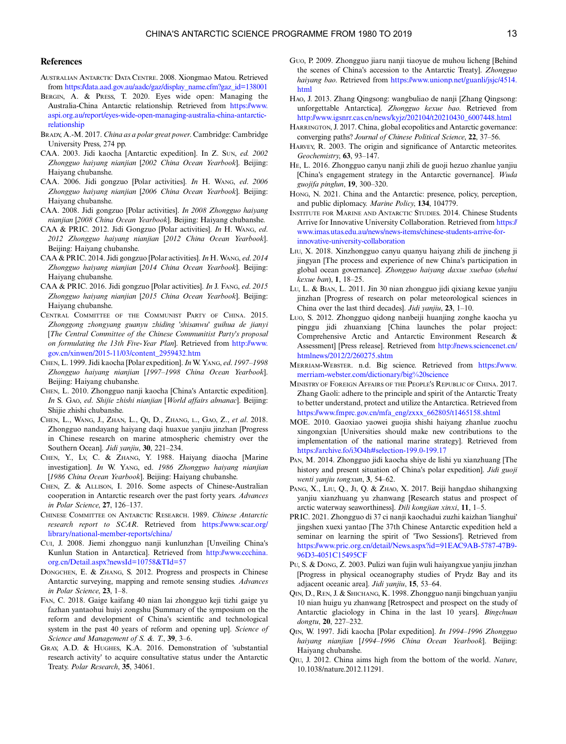#### <span id="page-12-0"></span>**References**

- AUSTRALIAN ANTARCTIC DATA CENTRE. 2008. Xiongmao Matou. Retrieved from [https://data.aad.gov.au/aadc/gaz/display\\_name.cfm?gaz\\_id=138001](https://data.aad.gov.au/aadc/gaz/display_name.cfm?gaz_id=138001)
- BERGIN, A. & PRESS, T. 2020. Eyes wide open: Managing the Australia-China Antarctic relationship. Retrieved from [https://www.](https://www.aspi.org.au/report/eyes-wide-open-managing-australia-china-antarctic-relationship) [aspi.org.au/report/eyes-wide-open-managing-australia-china-antarctic](https://www.aspi.org.au/report/eyes-wide-open-managing-australia-china-antarctic-relationship)[relationship](https://www.aspi.org.au/report/eyes-wide-open-managing-australia-china-antarctic-relationship)
- BRADY, A.-M. 2017. China as a polar great power. Cambridge: Cambridge University Press, 274 pp.
- CAA. 2003. Jidi kaocha [Antarctic expedition]. In Z. SUN, ed. 2002 Zhongguo haiyang nianjian [2002 China Ocean Yearbook]. Beijing: Haiyang chubanshe.
- CAA. 2006. Jidi gongzuo [Polar activities]. In H. WANG, ed. 2006 Zhongguo haiyang nianjian [2006 China Ocean Yearbook]. Beijing: Haiyang chubanshe.
- CAA. 2008. Jidi gongzuo [Polar activities]. In 2008 Zhongguo haiyang nianjian [2008 China Ocean Yearbook]. Beijing: Haiyang chubanshe.
- CAA & PRIC. 2012. Jidi Gongzuo [Polar activities]. In H. WANG, ed. 2012 Zhongguo haiyang nianjian [2012 China Ocean Yearbook]. Beijing: Haiyang chubanshe.
- CAA & PRIC. 2014. Jidi gongzuo [Polar activities].In H. WANG, ed. 2014 Zhongguo haiyang nianjian [2014 China Ocean Yearbook]. Beijing: Haiyang chubanshe.
- CAA & PRIC. 2016. Jidi gongzuo [Polar activities]. In J. FANG, ed. 2015 Zhongguo haiyang nianjian [2015 China Ocean Yearbook]. Beijing: Haiyang chubanshe.
- CENTRAL COMMITTEE OF THE COMMUNIST PARTY OF CHINA. 2015. Zhonggong zhongyang guanyu zhiding 'shisanwu' guihua de jianyi [The Central Committee of the Chinese Communitist Party's proposal on formulating the 13th Five-Year Plan]. Retrieved from [http://www.](http://www.gov.cn/xinwen/2015-11/03/content_2959432.htm) [gov.cn/xinwen/2015-11/03/content\\_2959432.htm](http://www.gov.cn/xinwen/2015-11/03/content_2959432.htm)
- CHEN, L. 1999. Jidi kaocha [Polar expedition]. In W. YANG, ed. 1997–1998 Zhongguo haiyang nianjian [1997–1998 China Ocean Yearbook]. Beijing: Haiyang chubanshe.
- CHEN, L. 2010. Zhongguo nanji kaocha [China's Antarctic expedition]. In S. GAO, ed. Shijie zhishi nianjian [World affairs almanac]. Beijing: Shijie zhishi chubanshe.
- CHEN, L., WANG, J., ZHAN, L., QI, D., ZHANG, L., GAO, Z., et al. 2018. Zhongguo nandayang haiyang daqi huaxue yanjiu jinzhan [Progress in Chinese research on marine atmospheric chemistry over the Southern Ocean]. Jidi yanjiu, 30, 221–234.
- CHEN, Y., LV, C. & ZHANG, Y. 1988. Haiyang diaocha [Marine investigation]. In W. YANG, ed. 1986 Zhongguo haiyang nianjian [1986 China Ocean Yearbook]. Beijing: Haiyang chubanshe.
- CHEN, Z. & ALLISON, I. 2016. Some aspects of Chinese-Australian cooperation in Antarctic research over the past forty years. Advances in Polar Science, 27, 126–137.
- CHINESE COMMITTEE ON ANTARCTIC RESEARCH. 1989. Chinese Antarctic research report to SCAR. Retrieved from [https://www.scar.org/](https://www.scar.org/library/national-member-reports/china/) [library/national-member-reports/china/](https://www.scar.org/library/national-member-reports/china/)
- CUI, J. 2008. Jiemi zhongguo nanji kunlunzhan [Unveiling China's Kunlun Station in Antarctica]. Retrieved from [http://www.ccchina.](http://www.ccchina.org.cn/Detail.aspx?newsId=10758&TId=57) [org.cn/Detail.aspx?newsId=10758&TId=57](http://www.ccchina.org.cn/Detail.aspx?newsId=10758&TId=57)
- DONGCHEN, E. & ZHANG, S. 2012. Progress and prospects in Chinese Antarctic surveying, mapping and remote sensing studies. Advances in Polar Science, 23, 1–8.
- FAN, C. 2018. Gaige kaifang 40 nian lai zhongguo keji tizhi gaige yu fazhan yantaohui huiyi zongshu [Summary of the symposium on the reform and development of China's scientific and technological system in the past 40 years of reform and opening up]. Science of Science and Management of S. &. T., 39, 3-6.
- GRAY, A.D. & HUGHES, K.A. 2016. Demonstration of 'substantial research activity' to acquire consultative status under the Antarctic Treaty. Polar Research, 35, 34061.
- GUO, P. 2009. Zhongguo jiaru nanji tiaoyue de muhou licheng [Behind the scenes of China's accession to the Antarctic Treaty]. Zhongguo haiyang bao. Retrieved from [https://www.unionp.net/guanli/jsjc/4514.](https://www.unionp.net/guanli/jsjc/4514.html) [html](https://www.unionp.net/guanli/jsjc/4514.html)
- HAO, J. 2013. Zhang Qingsong: wangbuliao de nanji [Zhang Qingsong: unforgettable Antarctica]. Zhongguo kexue bao. Retrieved from [http://www.igsnrr.cas.cn/news/kyjz/202104/t20210430\\_6007448.html](http://www.igsnrr.cas.cn/news/kyjz/202104/t20210430_6007448.html)
- HARRINGTON, J. 2017. China, global ecopolitics and Antarctic governance: converging paths? Journal of Chinese Political Science, 22, 37–56.
- HARVEY, R. 2003. The origin and significance of Antarctic meteorites. Geochemistry, 63, 93–147.
- HE, L. 2016. Zhongguo canyu nanji zhili de guoji hezuo zhanlue yanjiu [China's engagement strategy in the Antarctic governance]. Wuda guojifa pinglun, 19, 300–320.
- HONG, N. 2021. China and the Antarctic: presence, policy, perception, and public diplomacy. Marine Policy, 134, 104779.
- INSTITUTE FOR MARINE AND ANTARCTIC STUDIES. 2014. Chinese Students Arrive for Innovative University Collaboration. Retrieved from [https://](https://www.imas.utas.edu.au/news/news-items/chinese-students-arrive-for-innovative-university-collaboration) [www.imas.utas.edu.au/news/news-items/chinese-students-arrive-for](https://www.imas.utas.edu.au/news/news-items/chinese-students-arrive-for-innovative-university-collaboration)[innovative-university-collaboration](https://www.imas.utas.edu.au/news/news-items/chinese-students-arrive-for-innovative-university-collaboration)
- LIU, X. 2018. Xinzhongguo canyu quanyu haiyang zhili de jincheng ji jingyan [The process and experience of new China's participation in global ocean governance]. Zhongguo haiyang daxue xuebao (shehui kexue ban), 1, 18–25.
- LU, L. & BIAN, L. 2011. Jin 30 nian zhongguo jidi qixiang kexue yanjiu jinzhan [Progress of research on polar meteorological sciences in China over the last third decades]. Jidi yanjiu, 23, 1–10.
- LUO, S. 2012. Zhongguo qidong nanbeiji huanjing zonghe kaocha yu pinggu jidi zhuanxiang [China launches the polar project: Comprehensive Arctic and Antarctic Environment Research & Assessment] [Press release]. Retrieved from [http://news.sciencenet.cn/](http://news.sciencenet.cn/htmlnews/2012/2/260275.shtm) [htmlnews/2012/2/260275.shtm](http://news.sciencenet.cn/htmlnews/2012/2/260275.shtm)
- MERRIAM-WEBSTER. n.d. Big science. Retrieved from [https://www.](https://www.merriam-webster.com/dictionary/big%20science) [merriam-webster.com/dictionary/big%20science](https://www.merriam-webster.com/dictionary/big%20science)
- MINISTRY OF FOREIGN AFFAIRS OF THE PEOPLE'S REPUBLIC OF CHINA. 2017. Zhang Gaoli: adhere to the principle and spirit of the Antarctic Treaty to better understand, protect and utilize the Antarctica. Retrieved from [https://www.fmprc.gov.cn/mfa\\_eng/zxxx\\_662805/t1465158.shtml](https://www.fmprc.gov.cn/mfa_eng/zxxx_662805/t1465158.shtml)
- MOE. 2010. Gaoxiao yaowei guojia shishi haiyang zhanlue zuochu xingongxian [Universities should make new contributions to the implementation of the national marine strategy]. Retrieved from <https://archive.fo/i3O4h#selection-199.0-199.17>
- PAN, M. 2014. Zhongguo jidi kaocha shiye de lishi yu xianzhuang [The history and present situation of China's polar expedition]. Jidi guoji wenti yanjiu tongxun, 3, 54–62.
- PANG, X., LIU, Q., JI, Q. & ZHAO, X. 2017. Beiji hangdao shihangxing yanjiu xianzhuang yu zhanwang [Research status and prospect of arctic waterway seaworthiness]. Dili kongjian xinxi, 11, 1–5.
- PRIC. 2021. Zhongguo di 37 ci nanji kaochadui zuzhi kaizhan 'lianghui' jingshen xuexi yantao [The 37th Chinese Antarctic expedition held a seminar on learning the spirit of 'Two Sessions']. Retrieved from [https://www.pric.org.cn/detail/News.aspx?id=91EAC9AB-5787-47B9-](https://www.pric.org.cn/detail/News.aspx?id=91EAC9AB-5787-47B9-96D3-4051C15495CF) [96D3-4051C15495CF](https://www.pric.org.cn/detail/News.aspx?id=91EAC9AB-5787-47B9-96D3-4051C15495CF)
- PU, S. & DONG, Z. 2003. Pulizi wan fujin wuli haiyangxue yanjiu jinzhan [Progress in physical oceanography studies of Prydz Bay and its adjacent oceanic area]. Jidi yanjiu, 15, 53–64.
- QIN, D., REN, J. & SHICHANG, K. 1998. Zhongguo nanji bingchuan yanjiu 10 nian huigu yu zhanwang [Retrospect and prospect on the study of Antarctic glaciology in China in the last 10 years]. Bingchuan dongtu, 20, 227–232.
- QIN, W. 1997. Jidi kaocha [Polar expedition]. In 1994–1996 Zhongguo haiyang nianjian [1994–1996 China Ocean Yearbook]. Beijing: Haiyang chubanshe.
- QIU, J. 2012. China aims high from the bottom of the world. Nature, 10.1038/nature.2012.11291.